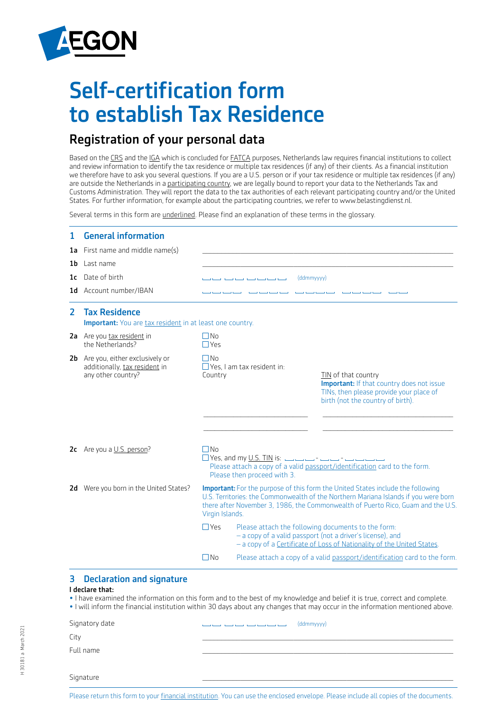

# Self-certification form to establish Tax Residence

# Registration of your personal data

Based on the CRS and the IGA which is concluded for **FATCA** purposes, Netherlands law requires financial institutions to collect and review information to identify the tax residence or multiple tax residences (if any) of their clients. As a financial institution we therefore have to ask you several questions. If you are a U.S. person or if your tax residence or multiple tax residences (if any) are outside the Netherlands in a participating country, we are legally bound to report your data to the Netherlands Tax and Customs Administration. They will report the data to the tax authorities of each relevant participating country and/or the United States. For further information, for example about the participating countries, we refer to www.belastingdienst.nl.

Several terms in this form are underlined. Please find an explanation of these terms in the glossary.

| 1              | <b>General information</b><br><b>1a</b> First name and middle name(s)                    |                                                                                                                                                                                                       |                                                                                                                                                                                                                                                                                                                                                                                                                                                                                    |                                                                                                                                                  |  |  |
|----------------|------------------------------------------------------------------------------------------|-------------------------------------------------------------------------------------------------------------------------------------------------------------------------------------------------------|------------------------------------------------------------------------------------------------------------------------------------------------------------------------------------------------------------------------------------------------------------------------------------------------------------------------------------------------------------------------------------------------------------------------------------------------------------------------------------|--------------------------------------------------------------------------------------------------------------------------------------------------|--|--|
| 1b.            | Last name<br>1c Date of birth<br>1d Account number/IBAN                                  | (ddmmyyyy)<br>فتنبه فتنبه فتنبه فتنبه المنتهاف                                                                                                                                                        |                                                                                                                                                                                                                                                                                                                                                                                                                                                                                    |                                                                                                                                                  |  |  |
| $\overline{2}$ | <b>Tax Residence</b><br><b>Important:</b> You are tax resident in at least one country.  |                                                                                                                                                                                                       |                                                                                                                                                                                                                                                                                                                                                                                                                                                                                    |                                                                                                                                                  |  |  |
|                | 2a Are you tax resident in<br>the Netherlands?                                           | $\Box$ No<br>$\Box$ Yes                                                                                                                                                                               |                                                                                                                                                                                                                                                                                                                                                                                                                                                                                    |                                                                                                                                                  |  |  |
|                | 2b Are you, either exclusively or<br>additionally, tax resident in<br>any other country? | $\Box$ No<br>Country                                                                                                                                                                                  | $\Box$ Yes, I am tax resident in:                                                                                                                                                                                                                                                                                                                                                                                                                                                  | TIN of that country<br>Important: If that country does not issue<br>TINs, then please provide your place of<br>birth (not the country of birth). |  |  |
|                | 2c Are you a U.S. person?                                                                | l INo<br>$\Box$ Yes, and my <u>U.S. TIN</u> is: $\Box$ $\Box$ $\Box$ $\Box$ $\Box$ $\Box$<br>Please attach a copy of a valid passport/identification card to the form.<br>Please then proceed with 3. |                                                                                                                                                                                                                                                                                                                                                                                                                                                                                    |                                                                                                                                                  |  |  |
|                | 2d Were you born in the United States?                                                   |                                                                                                                                                                                                       | <b>Important:</b> For the purpose of this form the United States include the following<br>U.S. Territories: the Commonwealth of the Northern Mariana Islands if you were born<br>there after November 3, 1986, the Commonwealth of Puerto Rico, Guam and the U.S.<br>Virgin Islands.<br>Please attach the following documents to the form:<br>- a copy of a valid passport (not a driver's license), and<br>- a copy of a Certificate of Loss of Nationality of the United States. |                                                                                                                                                  |  |  |
|                |                                                                                          | $\Box$ Yes                                                                                                                                                                                            |                                                                                                                                                                                                                                                                                                                                                                                                                                                                                    |                                                                                                                                                  |  |  |
|                |                                                                                          | $\Box$ No<br>Please attach a copy of a valid passport/identification card to the form.                                                                                                                |                                                                                                                                                                                                                                                                                                                                                                                                                                                                                    |                                                                                                                                                  |  |  |

# 3 Declaration and signature

# I declare that:

• I have examined the information on this form and to the best of my knowledge and belief it is true, correct and complete. • I will inform the financial institution within 30 days about any changes that may occur in the information mentioned above.

| Signatory date | (ddmmyyyy)<br>والمستوا فتنبيه فتنبيه فتنبيه المتنبه فتنبيه المتنبه فتنبيه |  |
|----------------|---------------------------------------------------------------------------|--|
| City           |                                                                           |  |
| Full name      |                                                                           |  |
|                |                                                                           |  |
| Signature      |                                                                           |  |